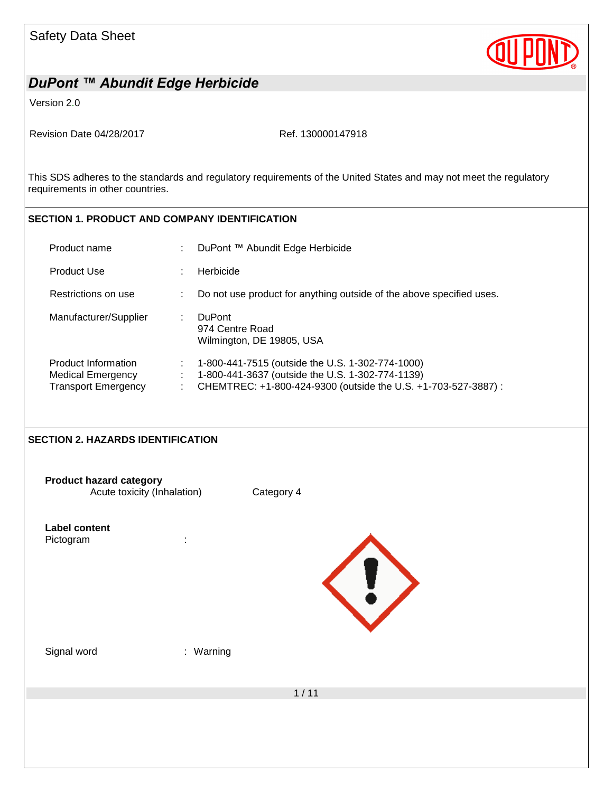

Version 2.0

Revision Date 04/28/2017 Ref. 130000147918

This SDS adheres to the standards and regulatory requirements of the United States and may not meet the regulatory requirements in other countries.

#### **SECTION 1. PRODUCT AND COMPANY IDENTIFICATION**

| Product name                                                                  | ٠ | DuPont ™ Abundit Edge Herbicide                                                                                                                                        |
|-------------------------------------------------------------------------------|---|------------------------------------------------------------------------------------------------------------------------------------------------------------------------|
| <b>Product Use</b>                                                            |   | Herbicide                                                                                                                                                              |
| Restrictions on use                                                           |   | Do not use product for anything outside of the above specified uses.                                                                                                   |
| Manufacturer/Supplier                                                         |   | <b>DuPont</b><br>974 Centre Road<br>Wilmington, DE 19805, USA                                                                                                          |
| Product Information<br><b>Medical Emergency</b><br><b>Transport Emergency</b> | ÷ | 1-800-441-7515 (outside the U.S. 1-302-774-1000)<br>1-800-441-3637 (outside the U.S. 1-302-774-1139)<br>CHEMTREC: +1-800-424-9300 (outside the U.S. +1-703-527-3887) : |

#### **SECTION 2. HAZARDS IDENTIFICATION**

**Product hazard category** Acute toxicity (Inhalation) Category 4

| Label content |  |
|---------------|--|
| Pictogram     |  |



Signal word : Warning

1 / 11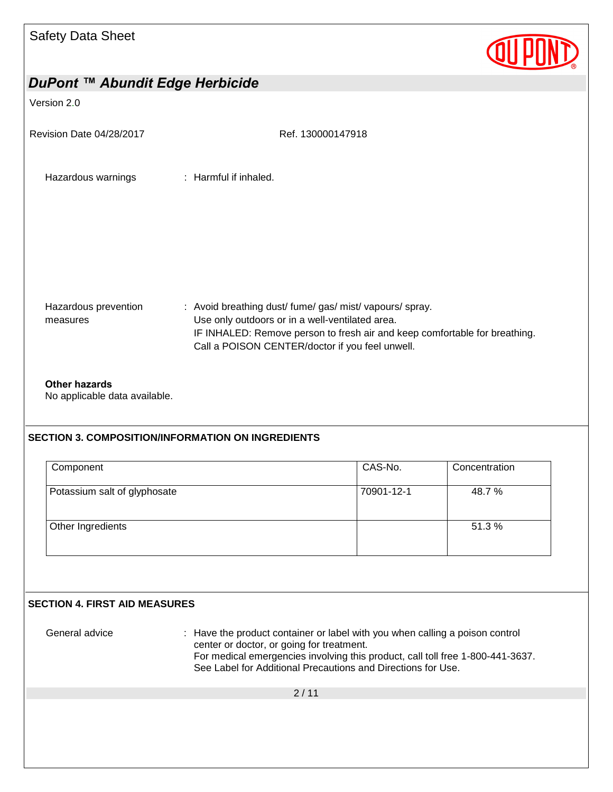

# *DuPont ™ Abundit Edge Herbicide* Version 2.0 Revision Date 04/28/2017 Ref. 130000147918  $2/11$ Hazardous warnings : Harmful if inhaled. Hazardous prevention measures : Avoid breathing dust/ fume/ gas/ mist/ vapours/ spray. Use only outdoors or in a well-ventilated area. IF INHALED: Remove person to fresh air and keep comfortable for breathing. Call a POISON CENTER/doctor if you feel unwell. **Other hazards** No applicable data available. **SECTION 3. COMPOSITION/INFORMATION ON INGREDIENTS** Component Component Component CAS-No. Potassium salt of glyphosate 70901-12-1 48.7 % Other Ingredients **51.3** % **SECTION 4. FIRST AID MEASURES** General advice : Have the product container or label with you when calling a poison control center or doctor, or going for treatment. For medical emergencies involving this product, call toll free 1-800-441-3637. See Label for Additional Precautions and Directions for Use.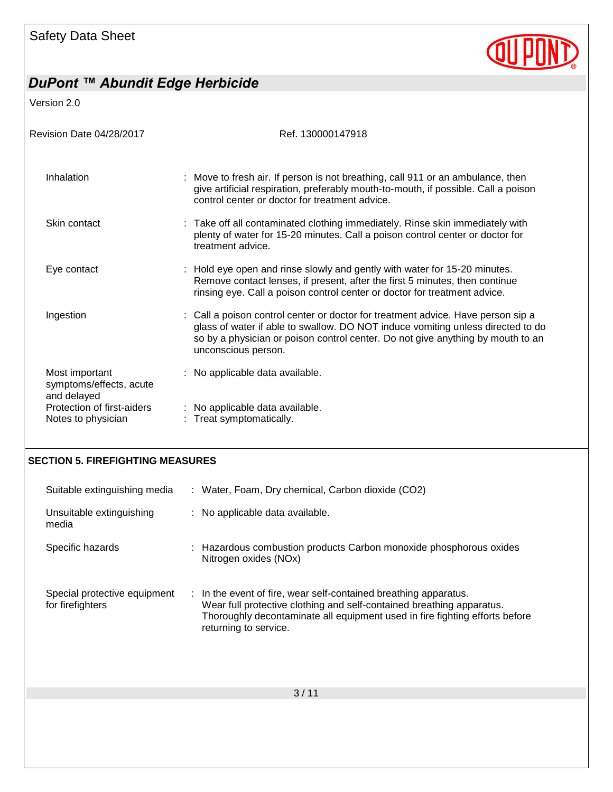

Version 2.0

| Revision Date 04/28/2017                                 | Ref. 130000147918                                                                                                                                                                                                                                                             |
|----------------------------------------------------------|-------------------------------------------------------------------------------------------------------------------------------------------------------------------------------------------------------------------------------------------------------------------------------|
| Inhalation                                               | : Move to fresh air. If person is not breathing, call 911 or an ambulance, then<br>give artificial respiration, preferably mouth-to-mouth, if possible. Call a poison<br>control center or doctor for treatment advice.                                                       |
| Skin contact                                             | : Take off all contaminated clothing immediately. Rinse skin immediately with<br>plenty of water for 15-20 minutes. Call a poison control center or doctor for<br>treatment advice.                                                                                           |
| Eye contact                                              | : Hold eye open and rinse slowly and gently with water for 15-20 minutes.<br>Remove contact lenses, if present, after the first 5 minutes, then continue<br>rinsing eye. Call a poison control center or doctor for treatment advice.                                         |
| Ingestion                                                | : Call a poison control center or doctor for treatment advice. Have person sip a<br>glass of water if able to swallow. DO NOT induce vomiting unless directed to do<br>so by a physician or poison control center. Do not give anything by mouth to an<br>unconscious person. |
| Most important<br>symptoms/effects, acute<br>and delayed | : No applicable data available.                                                                                                                                                                                                                                               |
| Protection of first-aiders                               | : No applicable data available.                                                                                                                                                                                                                                               |
| Notes to physician                                       | Treat symptomatically.                                                                                                                                                                                                                                                        |

#### **SECTION 5. FIREFIGHTING MEASURES**

| Suitable extinguishing media                     | : Water, Foam, Dry chemical, Carbon dioxide (CO2)                                                                                                                                                                                                            |
|--------------------------------------------------|--------------------------------------------------------------------------------------------------------------------------------------------------------------------------------------------------------------------------------------------------------------|
| Unsuitable extinguishing<br>media                | : No applicable data available.                                                                                                                                                                                                                              |
| Specific hazards                                 | : Hazardous combustion products Carbon monoxide phosphorous oxides<br>Nitrogen oxides (NOx)                                                                                                                                                                  |
| Special protective equipment<br>for firefighters | $\therefore$ In the event of fire, wear self-contained breathing apparatus.<br>Wear full protective clothing and self-contained breathing apparatus.<br>Thoroughly decontaminate all equipment used in fire fighting efforts before<br>returning to service. |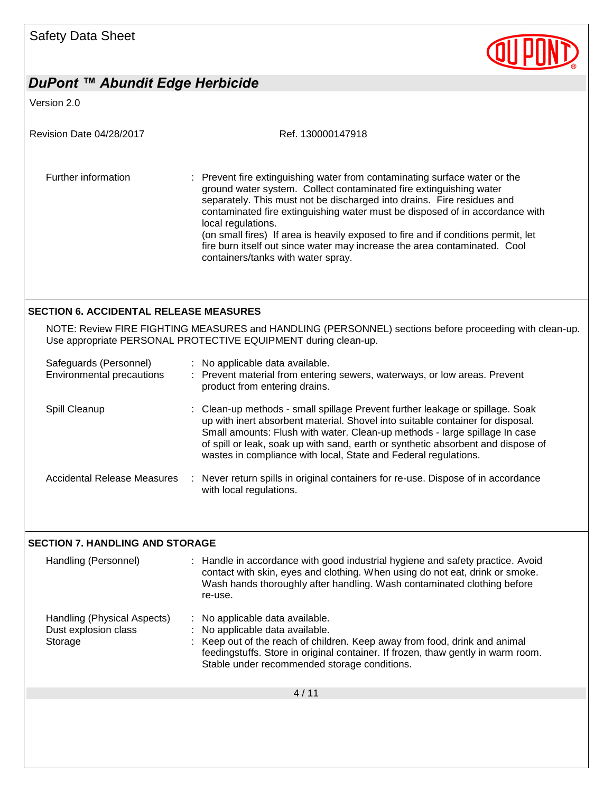

Version 2.0

| Revision Date 04/28/2017 | Ref. 130000147918                                                                                                                                                                                                                                                                                                                                                                                                                                                                                                                        |
|--------------------------|------------------------------------------------------------------------------------------------------------------------------------------------------------------------------------------------------------------------------------------------------------------------------------------------------------------------------------------------------------------------------------------------------------------------------------------------------------------------------------------------------------------------------------------|
| Further information      | : Prevent fire extinguishing water from contaminating surface water or the<br>ground water system. Collect contaminated fire extinguishing water<br>separately. This must not be discharged into drains. Fire residues and<br>contaminated fire extinguishing water must be disposed of in accordance with<br>local regulations.<br>(on small fires) If area is heavily exposed to fire and if conditions permit, let<br>fire burn itself out since water may increase the area contaminated. Cool<br>containers/tanks with water spray. |
|                          |                                                                                                                                                                                                                                                                                                                                                                                                                                                                                                                                          |

#### **SECTION 6. ACCIDENTAL RELEASE MEASURES**

NOTE: Review FIRE FIGHTING MEASURES and HANDLING (PERSONNEL) sections before proceeding with clean-up. Use appropriate PERSONAL PROTECTIVE EQUIPMENT during clean-up.

| Safeguards (Personnel)<br>Environmental precautions |    | : No applicable data available.<br>Prevent material from entering sewers, waterways, or low areas. Prevent<br>product from entering drains.                                                                                                                                                                                                                                                          |
|-----------------------------------------------------|----|------------------------------------------------------------------------------------------------------------------------------------------------------------------------------------------------------------------------------------------------------------------------------------------------------------------------------------------------------------------------------------------------------|
| Spill Cleanup                                       |    | : Clean-up methods - small spillage Prevent further leakage or spillage. Soak<br>up with inert absorbent material. Shovel into suitable container for disposal.<br>Small amounts: Flush with water. Clean-up methods - large spillage In case<br>of spill or leak, soak up with sand, earth or synthetic absorbent and dispose of<br>wastes in compliance with local, State and Federal regulations. |
| Accidental Release Measures                         | ÷. | Never return spills in original containers for re-use. Dispose of in accordance<br>with local regulations.                                                                                                                                                                                                                                                                                           |

#### **SECTION 7. HANDLING AND STORAGE**

| Handling (Personnel)                                           | : Handle in accordance with good industrial hygiene and safety practice. Avoid<br>contact with skin, eyes and clothing. When using do not eat, drink or smoke.<br>Wash hands thoroughly after handling. Wash contaminated clothing before<br>re-use.                                 |
|----------------------------------------------------------------|--------------------------------------------------------------------------------------------------------------------------------------------------------------------------------------------------------------------------------------------------------------------------------------|
| Handling (Physical Aspects)<br>Dust explosion class<br>Storage | : No applicable data available.<br>: No applicable data available.<br>: Keep out of the reach of children. Keep away from food, drink and animal<br>feedingstuffs. Store in original container. If frozen, thaw gently in warm room.<br>Stable under recommended storage conditions. |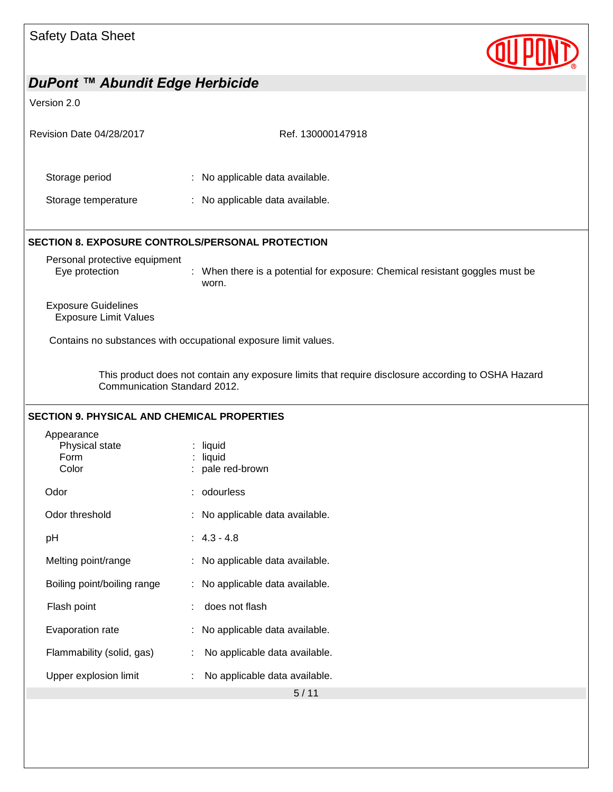

| DuPont ™ Abundit Edge Herbicide                                                                                                    |                                                                                       |  |  |
|------------------------------------------------------------------------------------------------------------------------------------|---------------------------------------------------------------------------------------|--|--|
| Version 2.0                                                                                                                        |                                                                                       |  |  |
| Revision Date 04/28/2017                                                                                                           | Ref. 130000147918                                                                     |  |  |
| Storage period                                                                                                                     | : No applicable data available.                                                       |  |  |
| Storage temperature                                                                                                                | : No applicable data available.                                                       |  |  |
| <b>SECTION 8. EXPOSURE CONTROLS/PERSONAL PROTECTION</b>                                                                            |                                                                                       |  |  |
| Personal protective equipment<br>Eye protection                                                                                    | : When there is a potential for exposure: Chemical resistant goggles must be<br>worn. |  |  |
| <b>Exposure Guidelines</b><br><b>Exposure Limit Values</b>                                                                         |                                                                                       |  |  |
|                                                                                                                                    | Contains no substances with occupational exposure limit values.                       |  |  |
| This product does not contain any exposure limits that require disclosure according to OSHA Hazard<br>Communication Standard 2012. |                                                                                       |  |  |
| <b>SECTION 9. PHYSICAL AND CHEMICAL PROPERTIES</b>                                                                                 |                                                                                       |  |  |
| Appearance<br>Physical state<br>Form<br>Color                                                                                      | $:$ liquid<br>$:$ liquid<br>pale red-brown                                            |  |  |
| Odor                                                                                                                               | odourless                                                                             |  |  |
| Odor threshold                                                                                                                     | : No applicable data available.                                                       |  |  |
| pH                                                                                                                                 | $4.3 - 4.8$                                                                           |  |  |
| Melting point/range                                                                                                                | No applicable data available.                                                         |  |  |
| Boiling point/boiling range                                                                                                        | No applicable data available.                                                         |  |  |
| Flash point                                                                                                                        | does not flash                                                                        |  |  |
| Evaporation rate                                                                                                                   | No applicable data available.                                                         |  |  |
| Flammability (solid, gas)                                                                                                          | No applicable data available.                                                         |  |  |
| Upper explosion limit                                                                                                              | No applicable data available.                                                         |  |  |
|                                                                                                                                    | 5/11                                                                                  |  |  |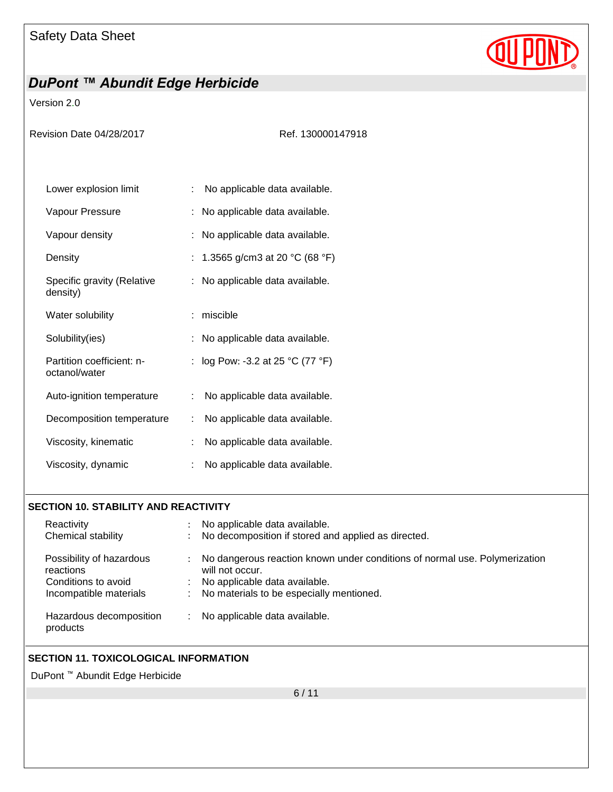

Version 2.0

| Revision Date 04/28/2017                   | Ref. 130000147918                   |
|--------------------------------------------|-------------------------------------|
| Lower explosion limit                      | No applicable data available.<br>÷  |
| Vapour Pressure                            | No applicable data available.       |
| Vapour density                             | : No applicable data available.     |
| Density                                    | 1.3565 g/cm3 at 20 °C (68 °F)       |
| Specific gravity (Relative<br>density)     | : No applicable data available.     |
| Water solubility                           | miscible                            |
| Solubility(ies)                            | No applicable data available.       |
| Partition coefficient: n-<br>octanol/water | log Pow: -3.2 at 25 °C (77 °F)      |
| Auto-ignition temperature                  | No applicable data available.<br>÷. |
| Decomposition temperature                  | No applicable data available.<br>t. |
| Viscosity, kinematic                       | No applicable data available.<br>t  |
| Viscosity, dynamic                         | No applicable data available.       |

#### **SECTION 10. STABILITY AND REACTIVITY**

| Reactivity                            | No applicable data available.                                                                 |  |
|---------------------------------------|-----------------------------------------------------------------------------------------------|--|
| Chemical stability                    | No decomposition if stored and applied as directed.                                           |  |
| Possibility of hazardous<br>reactions | No dangerous reaction known under conditions of normal use. Polymerization<br>will not occur. |  |
| Conditions to avoid                   | No applicable data available.                                                                 |  |
| Incompatible materials                | No materials to be especially mentioned.                                                      |  |
| Hazardous decomposition<br>products   | No applicable data available.                                                                 |  |

#### **SECTION 11. TOXICOLOGICAL INFORMATION**

DuPont ™ Abundit Edge Herbicide

6 / 11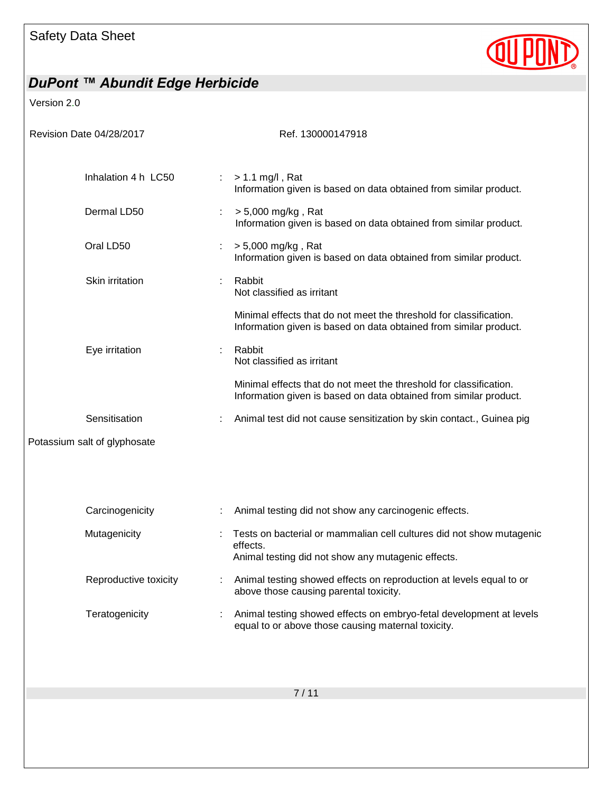

Version 2.0

| Revision Date 04/28/2017     | Ref. 130000147918                                                                                                                       |
|------------------------------|-----------------------------------------------------------------------------------------------------------------------------------------|
| Inhalation 4 h LC50          | $> 1.1$ mg/l, Rat<br>Information given is based on data obtained from similar product.                                                  |
| Dermal LD50                  | > 5,000 mg/kg, Rat<br>÷<br>Information given is based on data obtained from similar product.                                            |
| Oral LD50                    | > 5,000 mg/kg, Rat<br>÷<br>Information given is based on data obtained from similar product.                                            |
| Skin irritation              | Rabbit<br>Not classified as irritant                                                                                                    |
|                              | Minimal effects that do not meet the threshold for classification.<br>Information given is based on data obtained from similar product. |
| Eye irritation               | Rabbit<br>÷<br>Not classified as irritant                                                                                               |
|                              | Minimal effects that do not meet the threshold for classification.<br>Information given is based on data obtained from similar product. |
| Sensitisation                | Animal test did not cause sensitization by skin contact., Guinea pig                                                                    |
| Potassium salt of glyphosate |                                                                                                                                         |
|                              |                                                                                                                                         |
| Carcinogenicity              | Animal testing did not show any carcinogenic effects.                                                                                   |
| Mutagenicity                 | Tests on bacterial or mammalian cell cultures did not show mutagenic<br>effects.<br>Animal testing did not show any mutagenic effects.  |
| Reproductive toxicity        | Animal testing showed effects on reproduction at levels equal to or<br>above those causing parental toxicity.                           |
| Teratogenicity               | Animal testing showed effects on embryo-fetal development at levels<br>equal to or above those causing maternal toxicity.               |
|                              |                                                                                                                                         |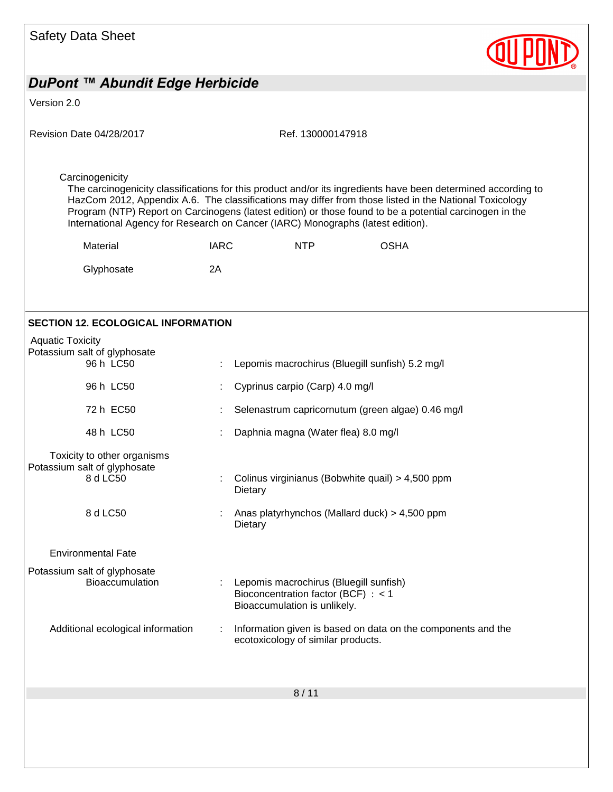| <b>Safety Data Sheet</b>                                                |                                                                                                                                                                                                                                                                                                                                                                                                                       |  |
|-------------------------------------------------------------------------|-----------------------------------------------------------------------------------------------------------------------------------------------------------------------------------------------------------------------------------------------------------------------------------------------------------------------------------------------------------------------------------------------------------------------|--|
| DuPont ™ Abundit Edge Herbicide                                         |                                                                                                                                                                                                                                                                                                                                                                                                                       |  |
| Version 2.0                                                             |                                                                                                                                                                                                                                                                                                                                                                                                                       |  |
| Revision Date 04/28/2017                                                | Ref. 130000147918                                                                                                                                                                                                                                                                                                                                                                                                     |  |
| Carcinogenicity                                                         | The carcinogenicity classifications for this product and/or its ingredients have been determined according to<br>HazCom 2012, Appendix A.6. The classifications may differ from those listed in the National Toxicology<br>Program (NTP) Report on Carcinogens (latest edition) or those found to be a potential carcinogen in the<br>International Agency for Research on Cancer (IARC) Monographs (latest edition). |  |
| Material                                                                | <b>OSHA</b><br><b>IARC</b><br><b>NTP</b>                                                                                                                                                                                                                                                                                                                                                                              |  |
| Glyphosate                                                              | 2A                                                                                                                                                                                                                                                                                                                                                                                                                    |  |
| <b>SECTION 12. ECOLOGICAL INFORMATION</b><br><b>Aquatic Toxicity</b>    |                                                                                                                                                                                                                                                                                                                                                                                                                       |  |
| Potassium salt of glyphosate<br>96 h LC50                               | Lepomis macrochirus (Bluegill sunfish) 5.2 mg/l                                                                                                                                                                                                                                                                                                                                                                       |  |
| 96 h LC50                                                               | Cyprinus carpio (Carp) 4.0 mg/l                                                                                                                                                                                                                                                                                                                                                                                       |  |
| 72 h EC50                                                               | Selenastrum capricornutum (green algae) 0.46 mg/l                                                                                                                                                                                                                                                                                                                                                                     |  |
| 48 h LC50                                                               | Daphnia magna (Water flea) 8.0 mg/l                                                                                                                                                                                                                                                                                                                                                                                   |  |
| Toxicity to other organisms<br>Potassium salt of glyphosate<br>8 d LC50 | Colinus virginianus (Bobwhite quail) > 4,500 ppm<br>Dietary                                                                                                                                                                                                                                                                                                                                                           |  |
| 8 d LC50                                                                | Anas platyrhynchos (Mallard duck) > 4,500 ppm<br>Dietary                                                                                                                                                                                                                                                                                                                                                              |  |
| <b>Environmental Fate</b>                                               |                                                                                                                                                                                                                                                                                                                                                                                                                       |  |
| Potassium salt of glyphosate<br><b>Bioaccumulation</b>                  | Lepomis macrochirus (Bluegill sunfish)<br>Bioconcentration factor (BCF) : < 1<br>Bioaccumulation is unlikely.                                                                                                                                                                                                                                                                                                         |  |
| Additional ecological information                                       | Information given is based on data on the components and the<br>ecotoxicology of similar products.                                                                                                                                                                                                                                                                                                                    |  |
|                                                                         | 8/11                                                                                                                                                                                                                                                                                                                                                                                                                  |  |
|                                                                         |                                                                                                                                                                                                                                                                                                                                                                                                                       |  |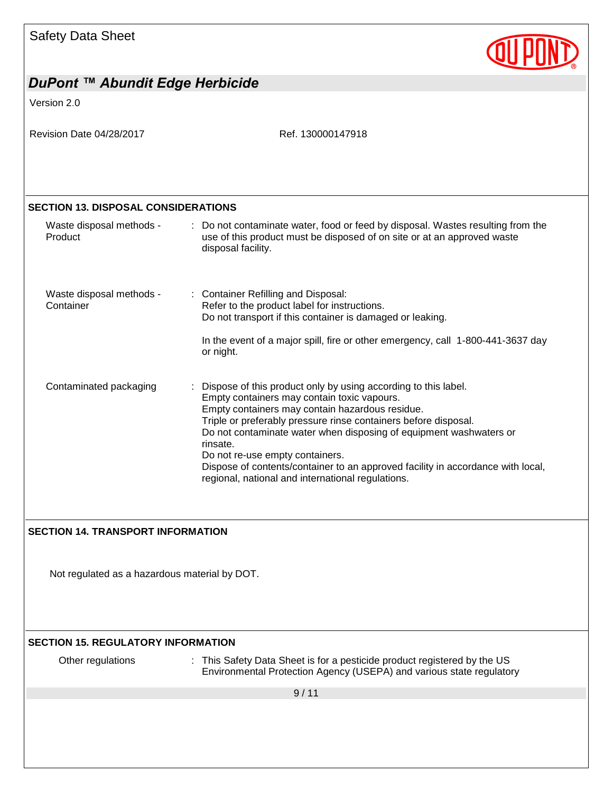| <b>Safety Data Sheet</b> |  |  |
|--------------------------|--|--|
|--------------------------|--|--|



| DuPont ™ Abundit Edge Herbicide               |                                                                                                                                                                                                                                                                                                                                                                                                                                                                                                  |
|-----------------------------------------------|--------------------------------------------------------------------------------------------------------------------------------------------------------------------------------------------------------------------------------------------------------------------------------------------------------------------------------------------------------------------------------------------------------------------------------------------------------------------------------------------------|
| Version 2.0                                   |                                                                                                                                                                                                                                                                                                                                                                                                                                                                                                  |
| Revision Date 04/28/2017                      | Ref. 130000147918                                                                                                                                                                                                                                                                                                                                                                                                                                                                                |
| <b>SECTION 13. DISPOSAL CONSIDERATIONS</b>    |                                                                                                                                                                                                                                                                                                                                                                                                                                                                                                  |
| Waste disposal methods -<br>Product           | : Do not contaminate water, food or feed by disposal. Wastes resulting from the<br>use of this product must be disposed of on site or at an approved waste<br>disposal facility.                                                                                                                                                                                                                                                                                                                 |
| Waste disposal methods -<br>Container         | <b>Container Refilling and Disposal:</b><br>Refer to the product label for instructions.<br>Do not transport if this container is damaged or leaking.                                                                                                                                                                                                                                                                                                                                            |
|                                               | In the event of a major spill, fire or other emergency, call 1-800-441-3637 day<br>or night.                                                                                                                                                                                                                                                                                                                                                                                                     |
| Contaminated packaging                        | Dispose of this product only by using according to this label.<br>Empty containers may contain toxic vapours.<br>Empty containers may contain hazardous residue.<br>Triple or preferably pressure rinse containers before disposal.<br>Do not contaminate water when disposing of equipment washwaters or<br>rinsate.<br>Do not re-use empty containers.<br>Dispose of contents/container to an approved facility in accordance with local,<br>regional, national and international regulations. |
| <b>SECTION 14. TRANSPORT INFORMATION</b>      |                                                                                                                                                                                                                                                                                                                                                                                                                                                                                                  |
| Not regulated as a hazardous material by DOT. |                                                                                                                                                                                                                                                                                                                                                                                                                                                                                                  |
| <b>SECTION 15. REGULATORY INFORMATION</b>     |                                                                                                                                                                                                                                                                                                                                                                                                                                                                                                  |
| Other regulations                             | : This Safety Data Sheet is for a pesticide product registered by the US<br>Environmental Protection Agency (USEPA) and various state regulatory                                                                                                                                                                                                                                                                                                                                                 |
|                                               | 9/11                                                                                                                                                                                                                                                                                                                                                                                                                                                                                             |
|                                               |                                                                                                                                                                                                                                                                                                                                                                                                                                                                                                  |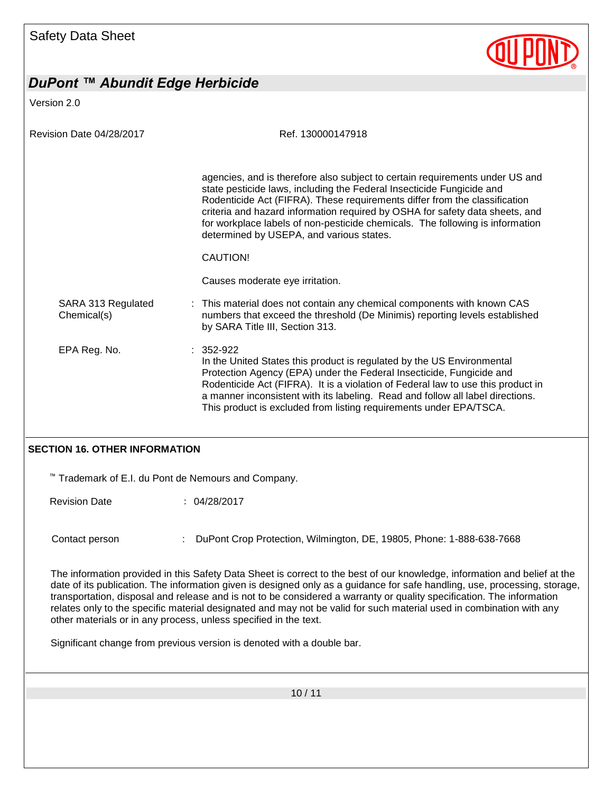

Version 2.0

| Ref. 130000147918                                                                                                                                                                                                                                                                                                                                                                                                                                |
|--------------------------------------------------------------------------------------------------------------------------------------------------------------------------------------------------------------------------------------------------------------------------------------------------------------------------------------------------------------------------------------------------------------------------------------------------|
| agencies, and is therefore also subject to certain requirements under US and<br>state pesticide laws, including the Federal Insecticide Fungicide and<br>Rodenticide Act (FIFRA). These requirements differ from the classification<br>criteria and hazard information required by OSHA for safety data sheets, and<br>for workplace labels of non-pesticide chemicals. The following is information<br>determined by USEPA, and various states. |
| CAUTION!                                                                                                                                                                                                                                                                                                                                                                                                                                         |
| Causes moderate eye irritation.                                                                                                                                                                                                                                                                                                                                                                                                                  |
| : This material does not contain any chemical components with known CAS<br>numbers that exceed the threshold (De Minimis) reporting levels established<br>by SARA Title III, Section 313.                                                                                                                                                                                                                                                        |
| $: 352-922$<br>In the United States this product is regulated by the US Environmental<br>Protection Agency (EPA) under the Federal Insecticide, Fungicide and<br>Rodenticide Act (FIFRA). It is a violation of Federal law to use this product in<br>a manner inconsistent with its labeling. Read and follow all label directions.<br>This product is excluded from listing requirements under EPA/TSCA.                                        |
|                                                                                                                                                                                                                                                                                                                                                                                                                                                  |

#### **SECTION 16. OTHER INFORMATION**

™ Trademark of E.I. du Pont de Nemours and Company.

Revision Date : 04/28/2017

Contact person : DuPont Crop Protection, Wilmington, DE, 19805, Phone: 1-888-638-7668

The information provided in this Safety Data Sheet is correct to the best of our knowledge, information and belief at the date of its publication. The information given is designed only as a guidance for safe handling, use, processing, storage, transportation, disposal and release and is not to be considered a warranty or quality specification. The information relates only to the specific material designated and may not be valid for such material used in combination with any other materials or in any process, unless specified in the text.

Significant change from previous version is denoted with a double bar.

10 / 11